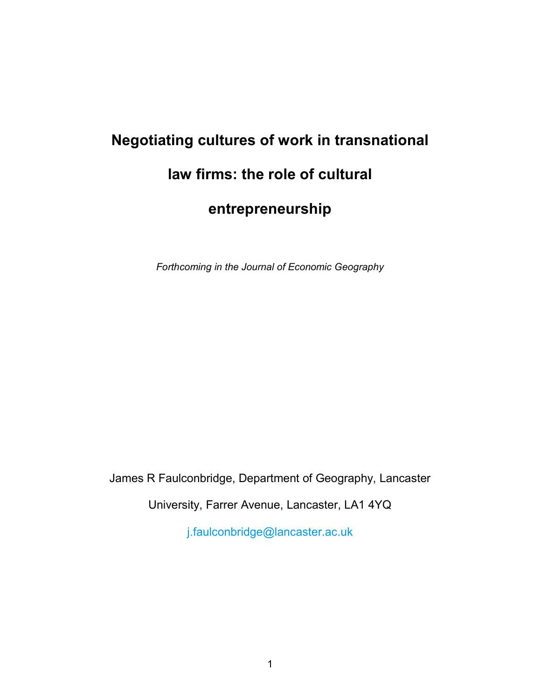# Negotiating cultures of work in transnational law firms: the role of cultural entrepreneurship

Forthcoming in the Journal of Economic Geography

James R Faulconbridge, Department of Geography, Lancaster

University, Farrer Avenue, Lancaster, LA1 4YQ

j.faulconbridge@lancaster.ac.uk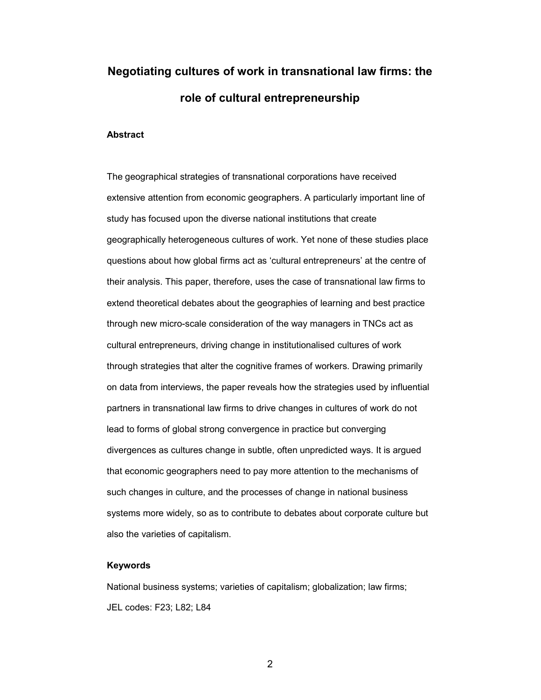# Negotiating cultures of work in transnational law firms: the role of cultural entrepreneurship

# Abstract

The geographical strategies of transnational corporations have received extensive attention from economic geographers. A particularly important line of study has focused upon the diverse national institutions that create geographically heterogeneous cultures of work. Yet none of these studies place questions about how global firms act as 'cultural entrepreneurs' at the centre of their analysis. This paper, therefore, uses the case of transnational law firms to extend theoretical debates about the geographies of learning and best practice through new micro-scale consideration of the way managers in TNCs act as cultural entrepreneurs, driving change in institutionalised cultures of work through strategies that alter the cognitive frames of workers. Drawing primarily on data from interviews, the paper reveals how the strategies used by influential partners in transnational law firms to drive changes in cultures of work do not lead to forms of global strong convergence in practice but converging divergences as cultures change in subtle, often unpredicted ways. It is argued that economic geographers need to pay more attention to the mechanisms of such changes in culture, and the processes of change in national business systems more widely, so as to contribute to debates about corporate culture but also the varieties of capitalism.

# Keywords

National business systems; varieties of capitalism; globalization; law firms; JEL codes: F23; L82; L84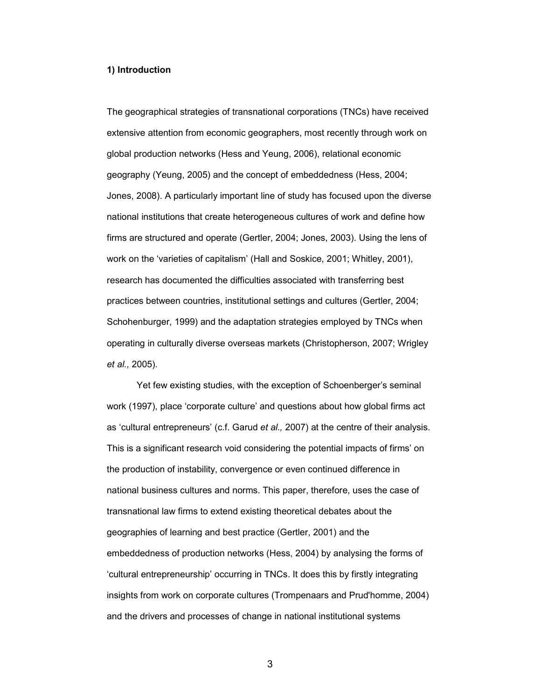#### 1) Introduction

The geographical strategies of transnational corporations (TNCs) have received extensive attention from economic geographers, most recently through work on global production networks (Hess and Yeung, 2006), relational economic geography (Yeung, 2005) and the concept of embeddedness (Hess, 2004; Jones, 2008). A particularly important line of study has focused upon the diverse national institutions that create heterogeneous cultures of work and define how firms are structured and operate (Gertler, 2004; Jones, 2003). Using the lens of work on the 'varieties of capitalism' (Hall and Soskice, 2001; Whitley, 2001), research has documented the difficulties associated with transferring best practices between countries, institutional settings and cultures (Gertler, 2004; Schohenburger, 1999) and the adaptation strategies employed by TNCs when operating in culturally diverse overseas markets (Christopherson, 2007; Wrigley et al., 2005).

Yet few existing studies, with the exception of Schoenberger's seminal work (1997), place 'corporate culture' and questions about how global firms act as 'cultural entrepreneurs' (c.f. Garud et al., 2007) at the centre of their analysis. This is a significant research void considering the potential impacts of firms' on the production of instability, convergence or even continued difference in national business cultures and norms. This paper, therefore, uses the case of transnational law firms to extend existing theoretical debates about the geographies of learning and best practice (Gertler, 2001) and the embeddedness of production networks (Hess, 2004) by analysing the forms of 'cultural entrepreneurship' occurring in TNCs. It does this by firstly integrating insights from work on corporate cultures (Trompenaars and Prud'homme, 2004) and the drivers and processes of change in national institutional systems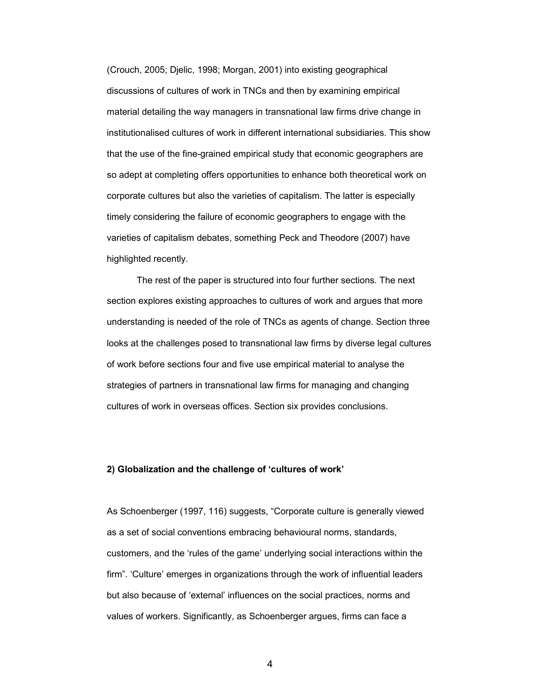(Crouch, 2005; Djelic, 1998; Morgan, 2001) into existing geographical discussions of cultures of work in TNCs and then by examining empirical material detailing the way managers in transnational law firms drive change in institutionalised cultures of work in different international subsidiaries. This show that the use of the fine-grained empirical study that economic geographers are so adept at completing offers opportunities to enhance both theoretical work on corporate cultures but also the varieties of capitalism. The latter is especially timely considering the failure of economic geographers to engage with the varieties of capitalism debates, something Peck and Theodore (2007) have highlighted recently.

The rest of the paper is structured into four further sections. The next section explores existing approaches to cultures of work and argues that more understanding is needed of the role of TNCs as agents of change. Section three looks at the challenges posed to transnational law firms by diverse legal cultures of work before sections four and five use empirical material to analyse the strategies of partners in transnational law firms for managing and changing cultures of work in overseas offices. Section six provides conclusions.

# 2) Globalization and the challenge of 'cultures of work'

As Schoenberger (1997, 116) suggests, "Corporate culture is generally viewed as a set of social conventions embracing behavioural norms, standards, customers, and the 'rules of the game' underlying social interactions within the firm". 'Culture' emerges in organizations through the work of influential leaders but also because of 'external' influences on the social practices, norms and values of workers. Significantly, as Schoenberger argues, firms can face a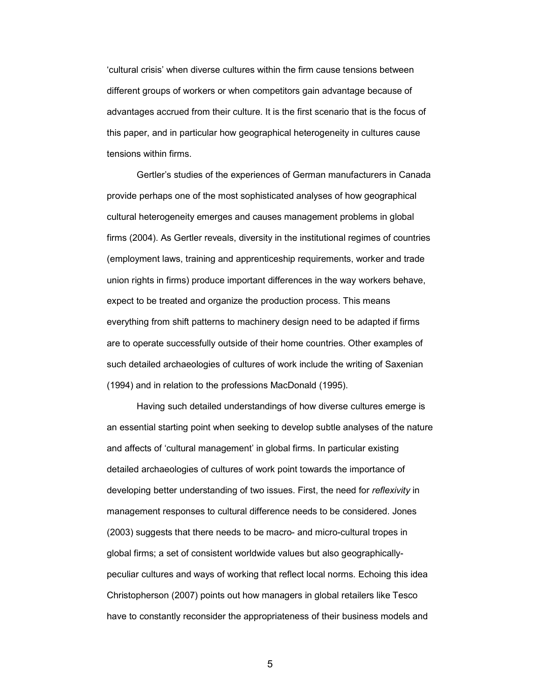'cultural crisis' when diverse cultures within the firm cause tensions between different groups of workers or when competitors gain advantage because of advantages accrued from their culture. It is the first scenario that is the focus of this paper, and in particular how geographical heterogeneity in cultures cause tensions within firms.

Gertler's studies of the experiences of German manufacturers in Canada provide perhaps one of the most sophisticated analyses of how geographical cultural heterogeneity emerges and causes management problems in global firms (2004). As Gertler reveals, diversity in the institutional regimes of countries (employment laws, training and apprenticeship requirements, worker and trade union rights in firms) produce important differences in the way workers behave, expect to be treated and organize the production process. This means everything from shift patterns to machinery design need to be adapted if firms are to operate successfully outside of their home countries. Other examples of such detailed archaeologies of cultures of work include the writing of Saxenian (1994) and in relation to the professions MacDonald (1995).

Having such detailed understandings of how diverse cultures emerge is an essential starting point when seeking to develop subtle analyses of the nature and affects of 'cultural management' in global firms. In particular existing detailed archaeologies of cultures of work point towards the importance of developing better understanding of two issues. First, the need for reflexivity in management responses to cultural difference needs to be considered. Jones (2003) suggests that there needs to be macro- and micro-cultural tropes in global firms; a set of consistent worldwide values but also geographicallypeculiar cultures and ways of working that reflect local norms. Echoing this idea Christopherson (2007) points out how managers in global retailers like Tesco have to constantly reconsider the appropriateness of their business models and

5 September 2006 - 2006 - 2007 - 2008 - 2008 - 2008 - 2008 - 2008 - 2008 - 2008 - 2008 - 2008 - 2008 - 2008 -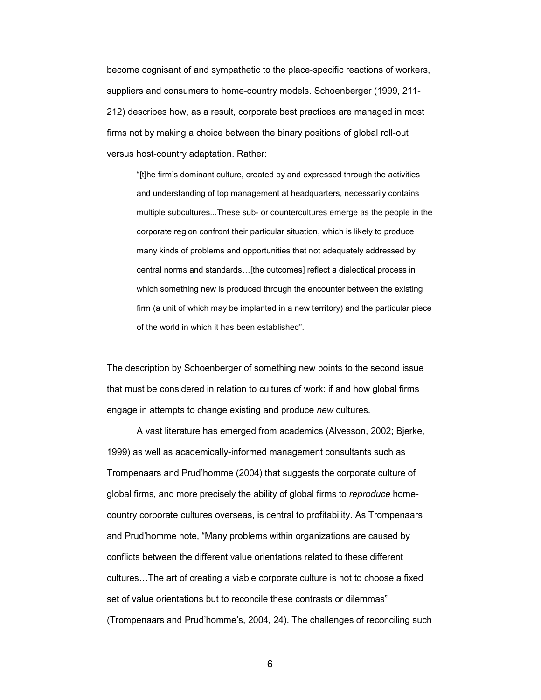become cognisant of and sympathetic to the place-specific reactions of workers, suppliers and consumers to home-country models. Schoenberger (1999, 211- 212) describes how, as a result, corporate best practices are managed in most firms not by making a choice between the binary positions of global roll-out versus host-country adaptation. Rather:

"[t]he firm's dominant culture, created by and expressed through the activities and understanding of top management at headquarters, necessarily contains multiple subcultures...These sub- or countercultures emerge as the people in the corporate region confront their particular situation, which is likely to produce many kinds of problems and opportunities that not adequately addressed by central norms and standards…[the outcomes] reflect a dialectical process in which something new is produced through the encounter between the existing firm (a unit of which may be implanted in a new territory) and the particular piece of the world in which it has been established".

The description by Schoenberger of something new points to the second issue that must be considered in relation to cultures of work: if and how global firms engage in attempts to change existing and produce new cultures.

A vast literature has emerged from academics (Alvesson, 2002; Bjerke, 1999) as well as academically-informed management consultants such as Trompenaars and Prud'homme (2004) that suggests the corporate culture of global firms, and more precisely the ability of global firms to reproduce homecountry corporate cultures overseas, is central to profitability. As Trompenaars and Prud'homme note, "Many problems within organizations are caused by conflicts between the different value orientations related to these different cultures…The art of creating a viable corporate culture is not to choose a fixed set of value orientations but to reconcile these contrasts or dilemmas" (Trompenaars and Prud'homme's, 2004, 24). The challenges of reconciling such

 $\sim$  6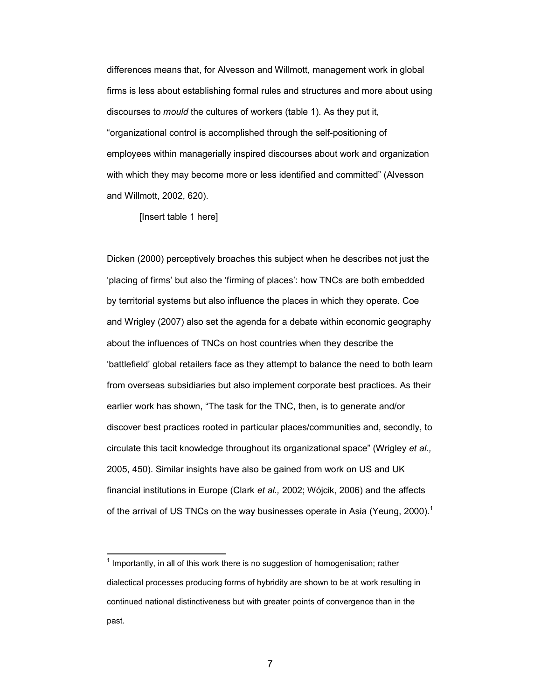differences means that, for Alvesson and Willmott, management work in global firms is less about establishing formal rules and structures and more about using discourses to mould the cultures of workers (table 1). As they put it, "organizational control is accomplished through the self-positioning of employees within managerially inspired discourses about work and organization with which they may become more or less identified and committed" (Alvesson and Willmott, 2002, 620).

[Insert table 1 here]

-

Dicken (2000) perceptively broaches this subject when he describes not just the 'placing of firms' but also the 'firming of places': how TNCs are both embedded by territorial systems but also influence the places in which they operate. Coe and Wrigley (2007) also set the agenda for a debate within economic geography about the influences of TNCs on host countries when they describe the 'battlefield' global retailers face as they attempt to balance the need to both learn from overseas subsidiaries but also implement corporate best practices. As their earlier work has shown, "The task for the TNC, then, is to generate and/or discover best practices rooted in particular places/communities and, secondly, to circulate this tacit knowledge throughout its organizational space" (Wrigley et al., 2005, 450). Similar insights have also be gained from work on US and UK financial institutions in Europe (Clark et al., 2002; Wójcik, 2006) and the affects of the arrival of US TNCs on the way businesses operate in Asia (Yeung, 2000).<sup>1</sup>

<u>7 деновни представљен по стандарт у прва под</u>

 $<sup>1</sup>$  Importantly, in all of this work there is no suggestion of homogenisation; rather</sup> dialectical processes producing forms of hybridity are shown to be at work resulting in continued national distinctiveness but with greater points of convergence than in the past.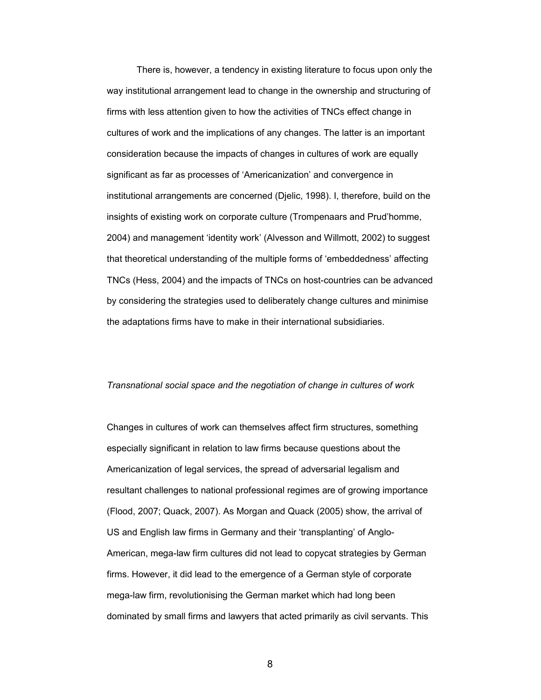There is, however, a tendency in existing literature to focus upon only the way institutional arrangement lead to change in the ownership and structuring of firms with less attention given to how the activities of TNCs effect change in cultures of work and the implications of any changes. The latter is an important consideration because the impacts of changes in cultures of work are equally significant as far as processes of 'Americanization' and convergence in institutional arrangements are concerned (Djelic, 1998). I, therefore, build on the insights of existing work on corporate culture (Trompenaars and Prud'homme, 2004) and management 'identity work' (Alvesson and Willmott, 2002) to suggest that theoretical understanding of the multiple forms of 'embeddedness' affecting TNCs (Hess, 2004) and the impacts of TNCs on host-countries can be advanced by considering the strategies used to deliberately change cultures and minimise the adaptations firms have to make in their international subsidiaries.

#### Transnational social space and the negotiation of change in cultures of work

Changes in cultures of work can themselves affect firm structures, something especially significant in relation to law firms because questions about the Americanization of legal services, the spread of adversarial legalism and resultant challenges to national professional regimes are of growing importance (Flood, 2007; Quack, 2007). As Morgan and Quack (2005) show, the arrival of US and English law firms in Germany and their 'transplanting' of Anglo-American, mega-law firm cultures did not lead to copycat strategies by German firms. However, it did lead to the emergence of a German style of corporate mega-law firm, revolutionising the German market which had long been dominated by small firms and lawyers that acted primarily as civil servants. This

8 (1992) 1994 (1994) 1995 (1995) 1996 (1996) 1997 (1998) 1998 (1998) 1998 (1998) 1998 (1998) 1998 (1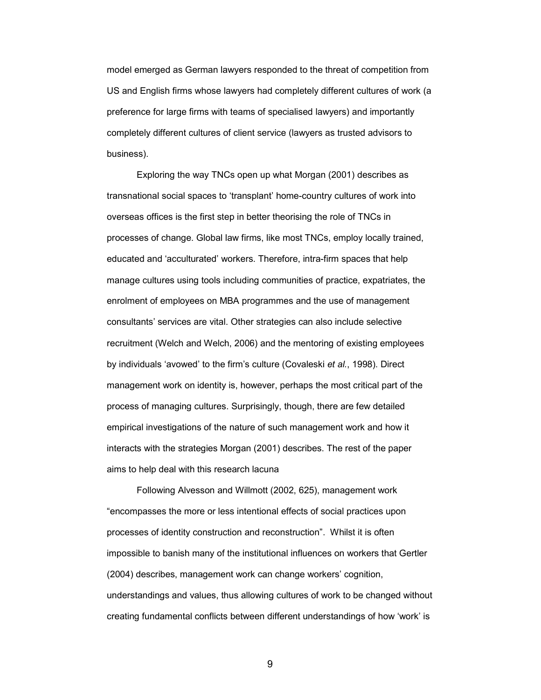model emerged as German lawyers responded to the threat of competition from US and English firms whose lawyers had completely different cultures of work (a preference for large firms with teams of specialised lawyers) and importantly completely different cultures of client service (lawyers as trusted advisors to business).

Exploring the way TNCs open up what Morgan (2001) describes as transnational social spaces to 'transplant' home-country cultures of work into overseas offices is the first step in better theorising the role of TNCs in processes of change. Global law firms, like most TNCs, employ locally trained, educated and 'acculturated' workers. Therefore, intra-firm spaces that help manage cultures using tools including communities of practice, expatriates, the enrolment of employees on MBA programmes and the use of management consultants' services are vital. Other strategies can also include selective recruitment (Welch and Welch, 2006) and the mentoring of existing employees by individuals 'avowed' to the firm's culture (Covaleski et al., 1998). Direct management work on identity is, however, perhaps the most critical part of the process of managing cultures. Surprisingly, though, there are few detailed empirical investigations of the nature of such management work and how it interacts with the strategies Morgan (2001) describes. The rest of the paper aims to help deal with this research lacuna

Following Alvesson and Willmott (2002, 625), management work "encompasses the more or less intentional effects of social practices upon processes of identity construction and reconstruction". Whilst it is often impossible to banish many of the institutional influences on workers that Gertler (2004) describes, management work can change workers' cognition, understandings and values, thus allowing cultures of work to be changed without creating fundamental conflicts between different understandings of how 'work' is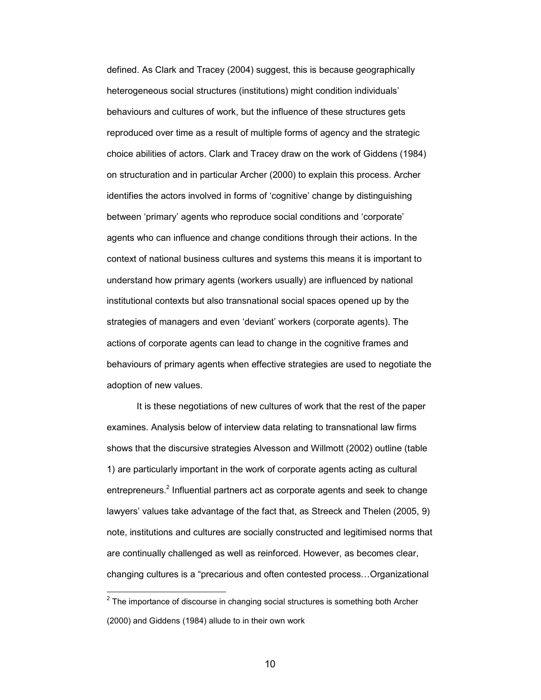defined. As Clark and Tracey (2004) suggest, this is because geographically heterogeneous social structures (institutions) might condition individuals' behaviours and cultures of work, but the influence of these structures gets reproduced over time as a result of multiple forms of agency and the strategic choice abilities of actors. Clark and Tracey draw on the work of Giddens (1984) on structuration and in particular Archer (2000) to explain this process. Archer identifies the actors involved in forms of 'cognitive' change by distinguishing between 'primary' agents who reproduce social conditions and 'corporate' agents who can influence and change conditions through their actions. In the context of national business cultures and systems this means it is important to understand how primary agents (workers usually) are influenced by national institutional contexts but also transnational social spaces opened up by the strategies of managers and even 'deviant' workers (corporate agents). The actions of corporate agents can lead to change in the cognitive frames and behaviours of primary agents when effective strategies are used to negotiate the adoption of new values.

It is these negotiations of new cultures of work that the rest of the paper examines. Analysis below of interview data relating to transnational law firms shows that the discursive strategies Alvesson and Willmott (2002) outline (table 1) are particularly important in the work of corporate agents acting as cultural entrepreneurs.<sup>2</sup> Influential partners act as corporate agents and seek to change lawyers' values take advantage of the fact that, as Streeck and Thelen (2005, 9) note, institutions and cultures are socially constructed and legitimised norms that are continually challenged as well as reinforced. However, as becomes clear, changing cultures is a "precarious and often contested process…Organizational

 2 The importance of discourse in changing social structures is something both Archer (2000) and Giddens (1984) allude to in their own work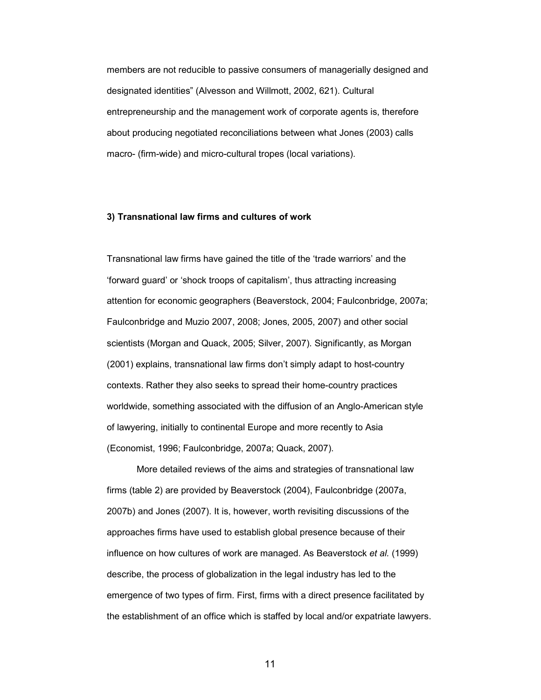members are not reducible to passive consumers of managerially designed and designated identities" (Alvesson and Willmott, 2002, 621). Cultural entrepreneurship and the management work of corporate agents is, therefore about producing negotiated reconciliations between what Jones (2003) calls macro- (firm-wide) and micro-cultural tropes (local variations).

#### 3) Transnational law firms and cultures of work

Transnational law firms have gained the title of the 'trade warriors' and the 'forward guard' or 'shock troops of capitalism', thus attracting increasing attention for economic geographers (Beaverstock, 2004; Faulconbridge, 2007a; Faulconbridge and Muzio 2007, 2008; Jones, 2005, 2007) and other social scientists (Morgan and Quack, 2005; Silver, 2007). Significantly, as Morgan (2001) explains, transnational law firms don't simply adapt to host-country contexts. Rather they also seeks to spread their home-country practices worldwide, something associated with the diffusion of an Anglo-American style of lawyering, initially to continental Europe and more recently to Asia (Economist, 1996; Faulconbridge, 2007a; Quack, 2007).

More detailed reviews of the aims and strategies of transnational law firms (table 2) are provided by Beaverstock (2004), Faulconbridge (2007a, 2007b) and Jones (2007). It is, however, worth revisiting discussions of the approaches firms have used to establish global presence because of their influence on how cultures of work are managed. As Beaverstock et al. (1999) describe, the process of globalization in the legal industry has led to the emergence of two types of firm. First, firms with a direct presence facilitated by the establishment of an office which is staffed by local and/or expatriate lawyers.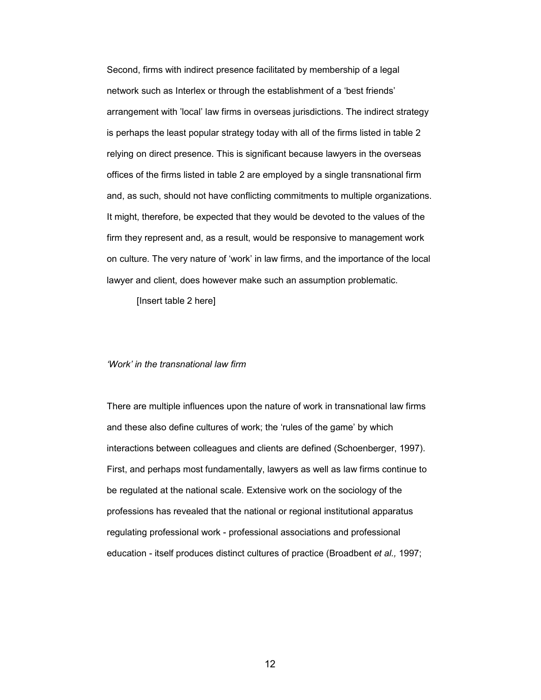Second, firms with indirect presence facilitated by membership of a legal network such as Interlex or through the establishment of a 'best friends' arrangement with 'local' law firms in overseas jurisdictions. The indirect strategy is perhaps the least popular strategy today with all of the firms listed in table 2 relying on direct presence. This is significant because lawyers in the overseas offices of the firms listed in table 2 are employed by a single transnational firm and, as such, should not have conflicting commitments to multiple organizations. It might, therefore, be expected that they would be devoted to the values of the firm they represent and, as a result, would be responsive to management work on culture. The very nature of 'work' in law firms, and the importance of the local lawyer and client, does however make such an assumption problematic.

[Insert table 2 here]

#### 'Work' in the transnational law firm

There are multiple influences upon the nature of work in transnational law firms and these also define cultures of work; the 'rules of the game' by which interactions between colleagues and clients are defined (Schoenberger, 1997). First, and perhaps most fundamentally, lawyers as well as law firms continue to be regulated at the national scale. Extensive work on the sociology of the professions has revealed that the national or regional institutional apparatus regulating professional work - professional associations and professional education - itself produces distinct cultures of practice (Broadbent et al., 1997;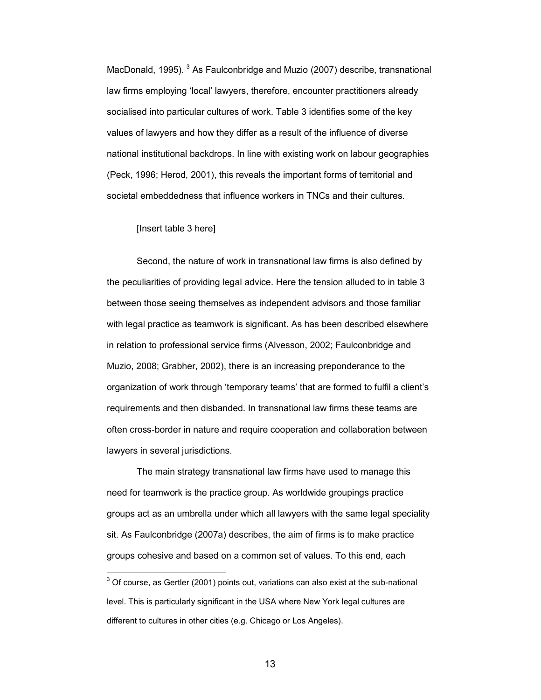MacDonald, 1995). <sup>3</sup> As Faulconbridge and Muzio (2007) describe, transnational law firms employing 'local' lawyers, therefore, encounter practitioners already socialised into particular cultures of work. Table 3 identifies some of the key values of lawyers and how they differ as a result of the influence of diverse national institutional backdrops. In line with existing work on labour geographies (Peck, 1996; Herod, 2001), this reveals the important forms of territorial and societal embeddedness that influence workers in TNCs and their cultures.

# [Insert table 3 here]

Second, the nature of work in transnational law firms is also defined by the peculiarities of providing legal advice. Here the tension alluded to in table 3 between those seeing themselves as independent advisors and those familiar with legal practice as teamwork is significant. As has been described elsewhere in relation to professional service firms (Alvesson, 2002; Faulconbridge and Muzio, 2008; Grabher, 2002), there is an increasing preponderance to the organization of work through 'temporary teams' that are formed to fulfil a client's requirements and then disbanded. In transnational law firms these teams are often cross-border in nature and require cooperation and collaboration between lawyers in several jurisdictions.

The main strategy transnational law firms have used to manage this need for teamwork is the practice group. As worldwide groupings practice groups act as an umbrella under which all lawyers with the same legal speciality sit. As Faulconbridge (2007a) describes, the aim of firms is to make practice groups cohesive and based on a common set of values. To this end, each

 3 Of course, as Gertler (2001) points out, variations can also exist at the sub-national level. This is particularly significant in the USA where New York legal cultures are different to cultures in other cities (e.g. Chicago or Los Angeles).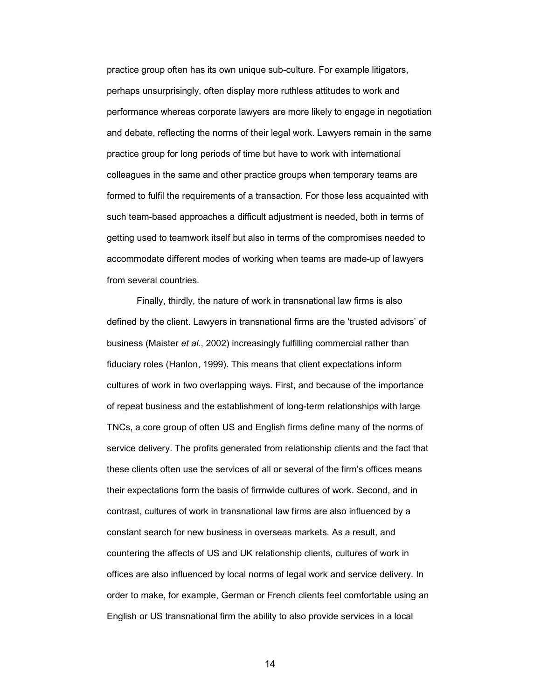practice group often has its own unique sub-culture. For example litigators, perhaps unsurprisingly, often display more ruthless attitudes to work and performance whereas corporate lawyers are more likely to engage in negotiation and debate, reflecting the norms of their legal work. Lawyers remain in the same practice group for long periods of time but have to work with international colleagues in the same and other practice groups when temporary teams are formed to fulfil the requirements of a transaction. For those less acquainted with such team-based approaches a difficult adjustment is needed, both in terms of getting used to teamwork itself but also in terms of the compromises needed to accommodate different modes of working when teams are made-up of lawyers from several countries.

Finally, thirdly, the nature of work in transnational law firms is also defined by the client. Lawyers in transnational firms are the 'trusted advisors' of business (Maister et al., 2002) increasingly fulfilling commercial rather than fiduciary roles (Hanlon, 1999). This means that client expectations inform cultures of work in two overlapping ways. First, and because of the importance of repeat business and the establishment of long-term relationships with large TNCs, a core group of often US and English firms define many of the norms of service delivery. The profits generated from relationship clients and the fact that these clients often use the services of all or several of the firm's offices means their expectations form the basis of firmwide cultures of work. Second, and in contrast, cultures of work in transnational law firms are also influenced by a constant search for new business in overseas markets. As a result, and countering the affects of US and UK relationship clients, cultures of work in offices are also influenced by local norms of legal work and service delivery. In order to make, for example, German or French clients feel comfortable using an English or US transnational firm the ability to also provide services in a local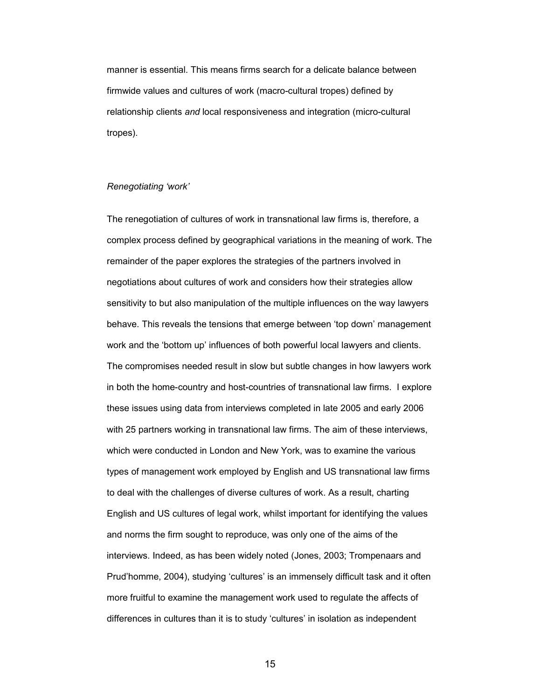manner is essential. This means firms search for a delicate balance between firmwide values and cultures of work (macro-cultural tropes) defined by relationship clients and local responsiveness and integration (micro-cultural tropes).

# Renegotiating 'work'

The renegotiation of cultures of work in transnational law firms is, therefore, a complex process defined by geographical variations in the meaning of work. The remainder of the paper explores the strategies of the partners involved in negotiations about cultures of work and considers how their strategies allow sensitivity to but also manipulation of the multiple influences on the way lawyers behave. This reveals the tensions that emerge between 'top down' management work and the 'bottom up' influences of both powerful local lawyers and clients. The compromises needed result in slow but subtle changes in how lawyers work in both the home-country and host-countries of transnational law firms. I explore these issues using data from interviews completed in late 2005 and early 2006 with 25 partners working in transnational law firms. The aim of these interviews, which were conducted in London and New York, was to examine the various types of management work employed by English and US transnational law firms to deal with the challenges of diverse cultures of work. As a result, charting English and US cultures of legal work, whilst important for identifying the values and norms the firm sought to reproduce, was only one of the aims of the interviews. Indeed, as has been widely noted (Jones, 2003; Trompenaars and Prud'homme, 2004), studying 'cultures' is an immensely difficult task and it often more fruitful to examine the management work used to regulate the affects of differences in cultures than it is to study 'cultures' in isolation as independent

<u>15 ann an t-Iomraid ann an 15 an t-Iomraid ann an 15 an t-Iomraid ann an 15 an t-Iomraid ann an 15 an t-Iomrai</u>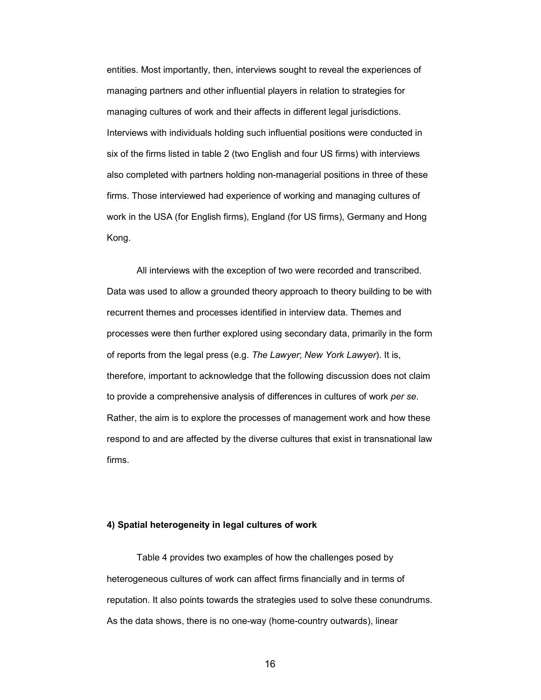entities. Most importantly, then, interviews sought to reveal the experiences of managing partners and other influential players in relation to strategies for managing cultures of work and their affects in different legal jurisdictions. Interviews with individuals holding such influential positions were conducted in six of the firms listed in table 2 (two English and four US firms) with interviews also completed with partners holding non-managerial positions in three of these firms. Those interviewed had experience of working and managing cultures of work in the USA (for English firms), England (for US firms), Germany and Hong Kong.

All interviews with the exception of two were recorded and transcribed. Data was used to allow a grounded theory approach to theory building to be with recurrent themes and processes identified in interview data. Themes and processes were then further explored using secondary data, primarily in the form of reports from the legal press (e.g. The Lawyer; New York Lawyer). It is, therefore, important to acknowledge that the following discussion does not claim to provide a comprehensive analysis of differences in cultures of work per se. Rather, the aim is to explore the processes of management work and how these respond to and are affected by the diverse cultures that exist in transnational law firms.

#### 4) Spatial heterogeneity in legal cultures of work

Table 4 provides two examples of how the challenges posed by heterogeneous cultures of work can affect firms financially and in terms of reputation. It also points towards the strategies used to solve these conundrums. As the data shows, there is no one-way (home-country outwards), linear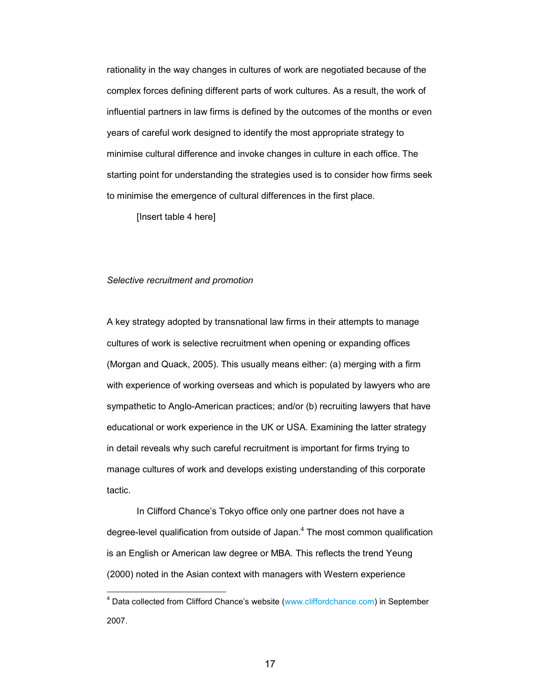rationality in the way changes in cultures of work are negotiated because of the complex forces defining different parts of work cultures. As a result, the work of influential partners in law firms is defined by the outcomes of the months or even years of careful work designed to identify the most appropriate strategy to minimise cultural difference and invoke changes in culture in each office. The starting point for understanding the strategies used is to consider how firms seek to minimise the emergence of cultural differences in the first place.

[Insert table 4 here]

#### Selective recruitment and promotion

A key strategy adopted by transnational law firms in their attempts to manage cultures of work is selective recruitment when opening or expanding offices (Morgan and Quack, 2005). This usually means either: (a) merging with a firm with experience of working overseas and which is populated by lawyers who are sympathetic to Anglo-American practices; and/or (b) recruiting lawyers that have educational or work experience in the UK or USA. Examining the latter strategy in detail reveals why such careful recruitment is important for firms trying to manage cultures of work and develops existing understanding of this corporate tactic.

In Clifford Chance's Tokyo office only one partner does not have a degree-level qualification from outside of Japan.<sup>4</sup> The most common qualification is an English or American law degree or MBA. This reflects the trend Yeung (2000) noted in the Asian context with managers with Western experience

 4 Data collected from Clifford Chance's website (www.cliffordchance.com) in September 2007.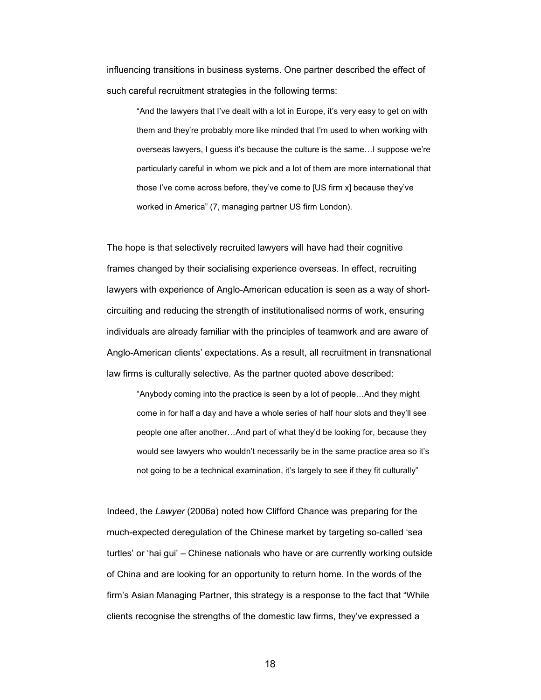influencing transitions in business systems. One partner described the effect of such careful recruitment strategies in the following terms:

"And the lawyers that I've dealt with a lot in Europe, it's very easy to get on with them and they're probably more like minded that I'm used to when working with overseas lawyers, I guess it's because the culture is the same…I suppose we're particularly careful in whom we pick and a lot of them are more international that those I've come across before, they've come to [US firm x] because they've worked in America" (7, managing partner US firm London).

The hope is that selectively recruited lawyers will have had their cognitive frames changed by their socialising experience overseas. In effect, recruiting lawyers with experience of Anglo-American education is seen as a way of shortcircuiting and reducing the strength of institutionalised norms of work, ensuring individuals are already familiar with the principles of teamwork and are aware of Anglo-American clients' expectations. As a result, all recruitment in transnational law firms is culturally selective. As the partner quoted above described:

"Anybody coming into the practice is seen by a lot of people…And they might come in for half a day and have a whole series of half hour slots and they'll see people one after another…And part of what they'd be looking for, because they would see lawyers who wouldn't necessarily be in the same practice area so it's not going to be a technical examination, it's largely to see if they fit culturally"

Indeed, the Lawyer (2006a) noted how Clifford Chance was preparing for the much-expected deregulation of the Chinese market by targeting so-called 'sea turtles' or 'hai gui' – Chinese nationals who have or are currently working outside of China and are looking for an opportunity to return home. In the words of the firm's Asian Managing Partner, this strategy is a response to the fact that "While clients recognise the strengths of the domestic law firms, they've expressed a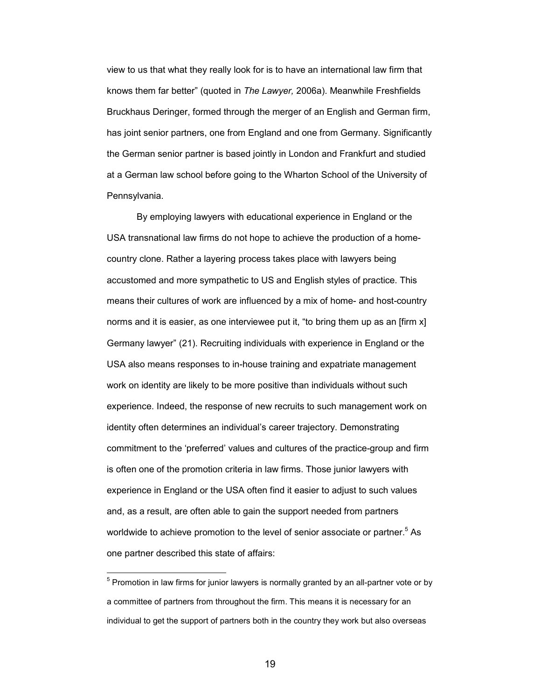view to us that what they really look for is to have an international law firm that knows them far better" (quoted in The Lawyer, 2006a). Meanwhile Freshfields Bruckhaus Deringer, formed through the merger of an English and German firm, has joint senior partners, one from England and one from Germany. Significantly the German senior partner is based jointly in London and Frankfurt and studied at a German law school before going to the Wharton School of the University of Pennsylvania.

By employing lawyers with educational experience in England or the USA transnational law firms do not hope to achieve the production of a homecountry clone. Rather a layering process takes place with lawyers being accustomed and more sympathetic to US and English styles of practice. This means their cultures of work are influenced by a mix of home- and host-country norms and it is easier, as one interviewee put it, "to bring them up as an [firm x] Germany lawyer" (21). Recruiting individuals with experience in England or the USA also means responses to in-house training and expatriate management work on identity are likely to be more positive than individuals without such experience. Indeed, the response of new recruits to such management work on identity often determines an individual's career trajectory. Demonstrating commitment to the 'preferred' values and cultures of the practice-group and firm is often one of the promotion criteria in law firms. Those junior lawyers with experience in England or the USA often find it easier to adjust to such values and, as a result, are often able to gain the support needed from partners worldwide to achieve promotion to the level of senior associate or partner.<sup>5</sup> As one partner described this state of affairs:

ta 1986 - Andrea Stadt British Stadt British Stadt British Stadt British Stadt British Stadt British Stadt Br

 5 Promotion in law firms for junior lawyers is normally granted by an all-partner vote or by a committee of partners from throughout the firm. This means it is necessary for an individual to get the support of partners both in the country they work but also overseas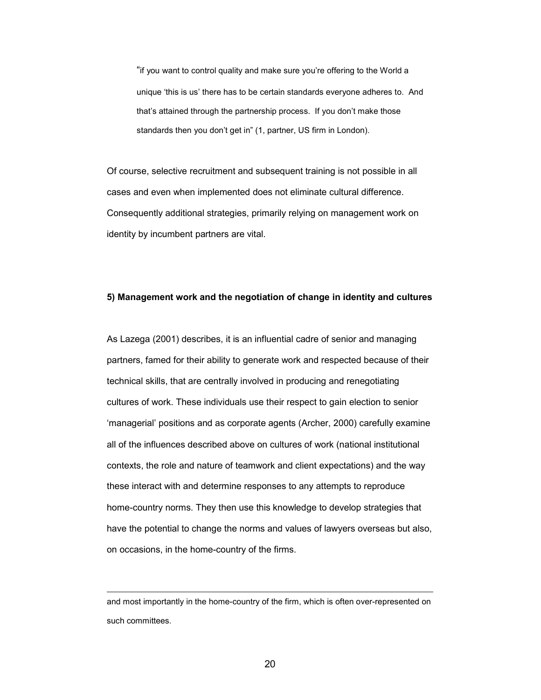"if you want to control quality and make sure you're offering to the World a unique 'this is us' there has to be certain standards everyone adheres to. And that's attained through the partnership process. If you don't make those standards then you don't get in" (1, partner, US firm in London).

Of course, selective recruitment and subsequent training is not possible in all cases and even when implemented does not eliminate cultural difference. Consequently additional strategies, primarily relying on management work on identity by incumbent partners are vital.

# 5) Management work and the negotiation of change in identity and cultures

As Lazega (2001) describes, it is an influential cadre of senior and managing partners, famed for their ability to generate work and respected because of their technical skills, that are centrally involved in producing and renegotiating cultures of work. These individuals use their respect to gain election to senior 'managerial' positions and as corporate agents (Archer, 2000) carefully examine all of the influences described above on cultures of work (national institutional contexts, the role and nature of teamwork and client expectations) and the way these interact with and determine responses to any attempts to reproduce home-country norms. They then use this knowledge to develop strategies that have the potential to change the norms and values of lawyers overseas but also, on occasions, in the home-country of the firms.

and most importantly in the home-country of the firm, which is often over-represented on such committees.

-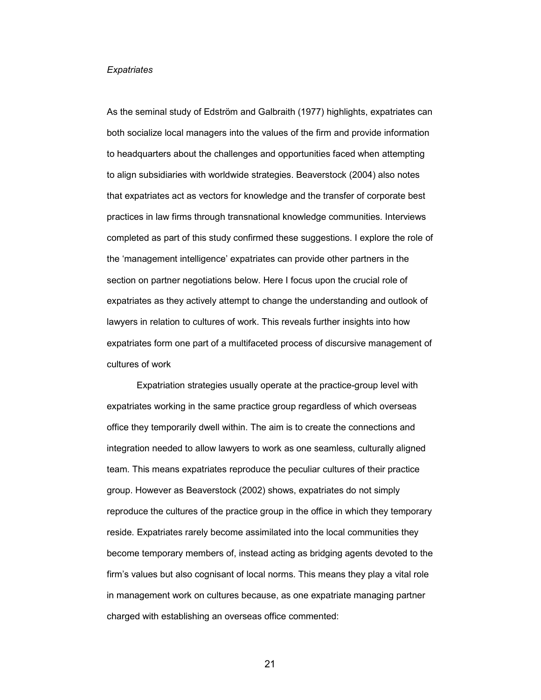#### **Expatriates**

As the seminal study of Edström and Galbraith (1977) highlights, expatriates can both socialize local managers into the values of the firm and provide information to headquarters about the challenges and opportunities faced when attempting to align subsidiaries with worldwide strategies. Beaverstock (2004) also notes that expatriates act as vectors for knowledge and the transfer of corporate best practices in law firms through transnational knowledge communities. Interviews completed as part of this study confirmed these suggestions. I explore the role of the 'management intelligence' expatriates can provide other partners in the section on partner negotiations below. Here I focus upon the crucial role of expatriates as they actively attempt to change the understanding and outlook of lawyers in relation to cultures of work. This reveals further insights into how expatriates form one part of a multifaceted process of discursive management of cultures of work

Expatriation strategies usually operate at the practice-group level with expatriates working in the same practice group regardless of which overseas office they temporarily dwell within. The aim is to create the connections and integration needed to allow lawyers to work as one seamless, culturally aligned team. This means expatriates reproduce the peculiar cultures of their practice group. However as Beaverstock (2002) shows, expatriates do not simply reproduce the cultures of the practice group in the office in which they temporary reside. Expatriates rarely become assimilated into the local communities they become temporary members of, instead acting as bridging agents devoted to the firm's values but also cognisant of local norms. This means they play a vital role in management work on cultures because, as one expatriate managing partner charged with establishing an overseas office commented: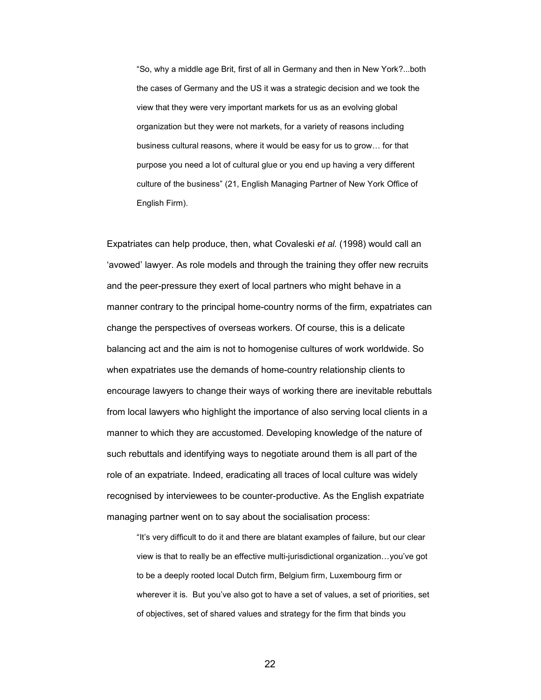"So, why a middle age Brit, first of all in Germany and then in New York?...both the cases of Germany and the US it was a strategic decision and we took the view that they were very important markets for us as an evolving global organization but they were not markets, for a variety of reasons including business cultural reasons, where it would be easy for us to grow… for that purpose you need a lot of cultural glue or you end up having a very different culture of the business" (21, English Managing Partner of New York Office of English Firm).

Expatriates can help produce, then, what Covaleski et al. (1998) would call an 'avowed' lawyer. As role models and through the training they offer new recruits and the peer-pressure they exert of local partners who might behave in a manner contrary to the principal home-country norms of the firm, expatriates can change the perspectives of overseas workers. Of course, this is a delicate balancing act and the aim is not to homogenise cultures of work worldwide. So when expatriates use the demands of home-country relationship clients to encourage lawyers to change their ways of working there are inevitable rebuttals from local lawyers who highlight the importance of also serving local clients in a manner to which they are accustomed. Developing knowledge of the nature of such rebuttals and identifying ways to negotiate around them is all part of the role of an expatriate. Indeed, eradicating all traces of local culture was widely recognised by interviewees to be counter-productive. As the English expatriate managing partner went on to say about the socialisation process:

"It's very difficult to do it and there are blatant examples of failure, but our clear view is that to really be an effective multi-jurisdictional organization…you've got to be a deeply rooted local Dutch firm, Belgium firm, Luxembourg firm or wherever it is. But you've also got to have a set of values, a set of priorities, set of objectives, set of shared values and strategy for the firm that binds you

<u>22</u>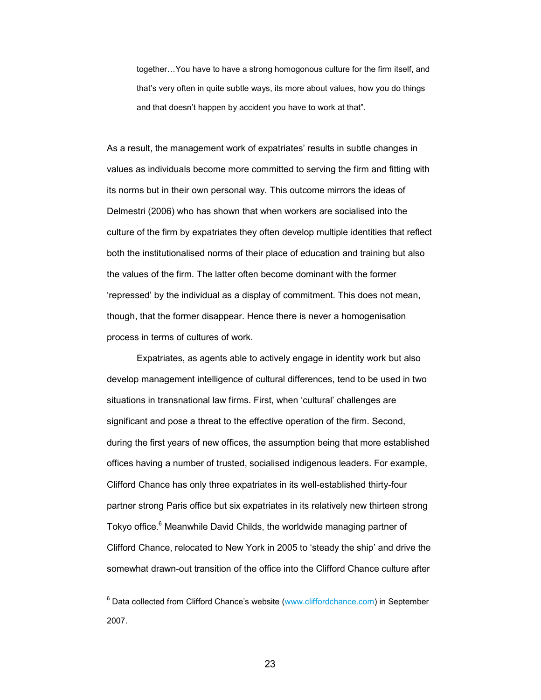together…You have to have a strong homogonous culture for the firm itself, and that's very often in quite subtle ways, its more about values, how you do things and that doesn't happen by accident you have to work at that".

As a result, the management work of expatriates' results in subtle changes in values as individuals become more committed to serving the firm and fitting with its norms but in their own personal way. This outcome mirrors the ideas of Delmestri (2006) who has shown that when workers are socialised into the culture of the firm by expatriates they often develop multiple identities that reflect both the institutionalised norms of their place of education and training but also the values of the firm. The latter often become dominant with the former 'repressed' by the individual as a display of commitment. This does not mean, though, that the former disappear. Hence there is never a homogenisation process in terms of cultures of work.

Expatriates, as agents able to actively engage in identity work but also develop management intelligence of cultural differences, tend to be used in two situations in transnational law firms. First, when 'cultural' challenges are significant and pose a threat to the effective operation of the firm. Second, during the first years of new offices, the assumption being that more established offices having a number of trusted, socialised indigenous leaders. For example, Clifford Chance has only three expatriates in its well-established thirty-four partner strong Paris office but six expatriates in its relatively new thirteen strong Tokyo office.<sup>6</sup> Meanwhile David Childs, the worldwide managing partner of Clifford Chance, relocated to New York in 2005 to 'steady the ship' and drive the somewhat drawn-out transition of the office into the Clifford Chance culture after

<u>23 and 23</u>

 6 Data collected from Clifford Chance's website (www.cliffordchance.com) in September 2007.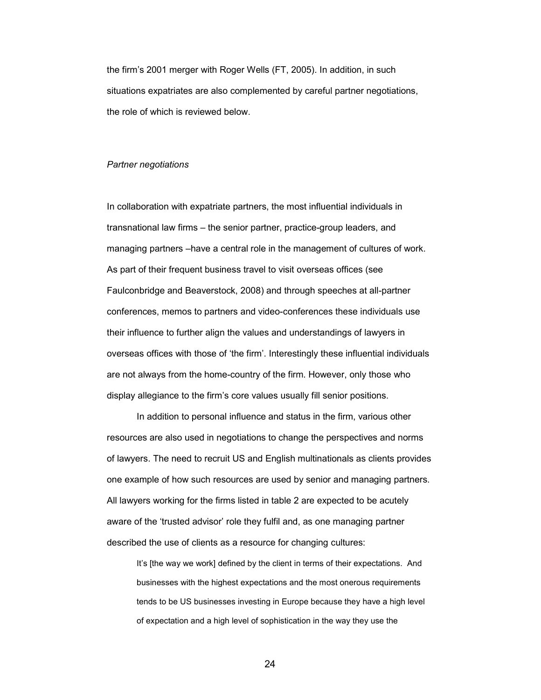the firm's 2001 merger with Roger Wells (FT, 2005). In addition, in such situations expatriates are also complemented by careful partner negotiations, the role of which is reviewed below.

#### Partner negotiations

In collaboration with expatriate partners, the most influential individuals in transnational law firms – the senior partner, practice-group leaders, and managing partners –have a central role in the management of cultures of work. As part of their frequent business travel to visit overseas offices (see Faulconbridge and Beaverstock, 2008) and through speeches at all-partner conferences, memos to partners and video-conferences these individuals use their influence to further align the values and understandings of lawyers in overseas offices with those of 'the firm'. Interestingly these influential individuals are not always from the home-country of the firm. However, only those who display allegiance to the firm's core values usually fill senior positions.

In addition to personal influence and status in the firm, various other resources are also used in negotiations to change the perspectives and norms of lawyers. The need to recruit US and English multinationals as clients provides one example of how such resources are used by senior and managing partners. All lawyers working for the firms listed in table 2 are expected to be acutely aware of the 'trusted advisor' role they fulfil and, as one managing partner described the use of clients as a resource for changing cultures:

It's [the way we work] defined by the client in terms of their expectations. And businesses with the highest expectations and the most onerous requirements tends to be US businesses investing in Europe because they have a high level of expectation and a high level of sophistication in the way they use the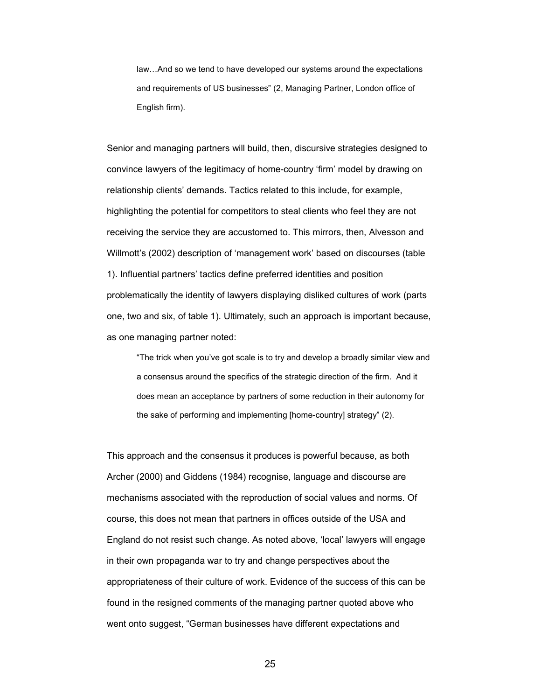law…And so we tend to have developed our systems around the expectations and requirements of US businesses" (2, Managing Partner, London office of English firm).

Senior and managing partners will build, then, discursive strategies designed to convince lawyers of the legitimacy of home-country 'firm' model by drawing on relationship clients' demands. Tactics related to this include, for example, highlighting the potential for competitors to steal clients who feel they are not receiving the service they are accustomed to. This mirrors, then, Alvesson and Willmott's (2002) description of 'management work' based on discourses (table 1). Influential partners' tactics define preferred identities and position problematically the identity of lawyers displaying disliked cultures of work (parts one, two and six, of table 1). Ultimately, such an approach is important because, as one managing partner noted:

"The trick when you've got scale is to try and develop a broadly similar view and a consensus around the specifics of the strategic direction of the firm. And it does mean an acceptance by partners of some reduction in their autonomy for the sake of performing and implementing [home-country] strategy" (2).

This approach and the consensus it produces is powerful because, as both Archer (2000) and Giddens (1984) recognise, language and discourse are mechanisms associated with the reproduction of social values and norms. Of course, this does not mean that partners in offices outside of the USA and England do not resist such change. As noted above, 'local' lawyers will engage in their own propaganda war to try and change perspectives about the appropriateness of their culture of work. Evidence of the success of this can be found in the resigned comments of the managing partner quoted above who went onto suggest, "German businesses have different expectations and

<u>25 and 25 and 26 and 26 and 26 and 26 and 26 and 26 and 26 and 26 and 26 and 26 and 26 and 26 and 26 and 26 and 26 and 26 and 26 and 26 and 26 and 26 and 26 and 26 and 26 and 27 and 27 and 27 and 27 and 27 and 27 and 27 a</u>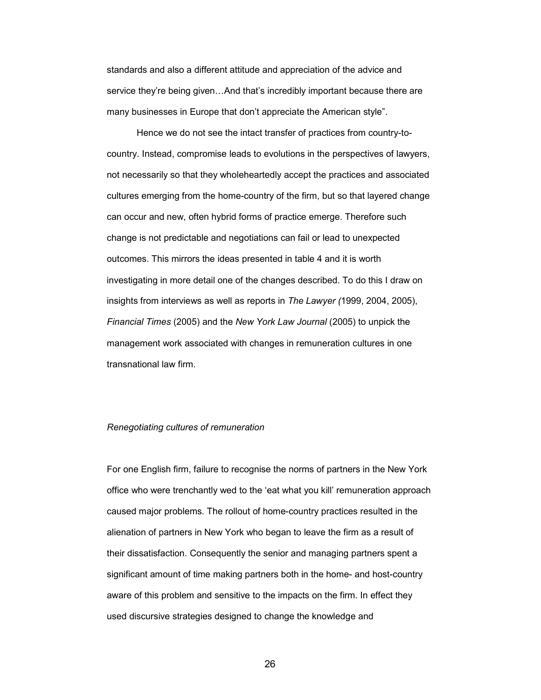standards and also a different attitude and appreciation of the advice and service they're being given…And that's incredibly important because there are many businesses in Europe that don't appreciate the American style".

Hence we do not see the intact transfer of practices from country-tocountry. Instead, compromise leads to evolutions in the perspectives of lawyers, not necessarily so that they wholeheartedly accept the practices and associated cultures emerging from the home-country of the firm, but so that layered change can occur and new, often hybrid forms of practice emerge. Therefore such change is not predictable and negotiations can fail or lead to unexpected outcomes. This mirrors the ideas presented in table 4 and it is worth investigating in more detail one of the changes described. To do this I draw on insights from interviews as well as reports in The Lawyer (1999, 2004, 2005), Financial Times (2005) and the New York Law Journal (2005) to unpick the management work associated with changes in remuneration cultures in one transnational law firm.

#### Renegotiating cultures of remuneration

For one English firm, failure to recognise the norms of partners in the New York office who were trenchantly wed to the 'eat what you kill' remuneration approach caused major problems. The rollout of home-country practices resulted in the alienation of partners in New York who began to leave the firm as a result of their dissatisfaction. Consequently the senior and managing partners spent a significant amount of time making partners both in the home- and host-country aware of this problem and sensitive to the impacts on the firm. In effect they used discursive strategies designed to change the knowledge and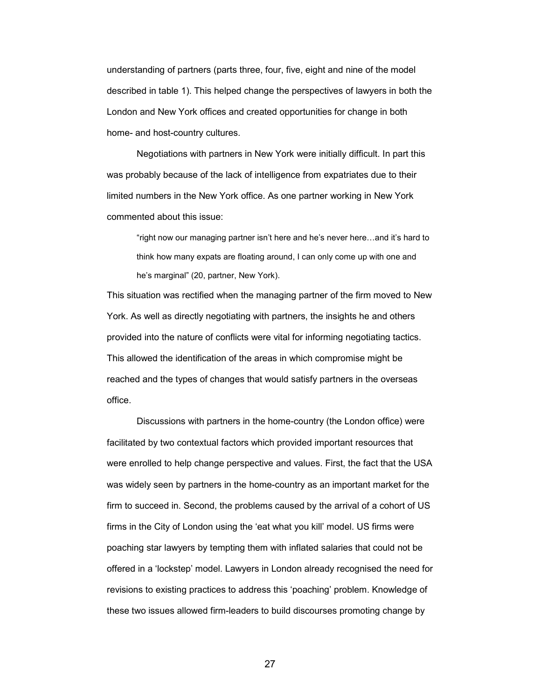understanding of partners (parts three, four, five, eight and nine of the model described in table 1). This helped change the perspectives of lawyers in both the London and New York offices and created opportunities for change in both home- and host-country cultures.

Negotiations with partners in New York were initially difficult. In part this was probably because of the lack of intelligence from expatriates due to their limited numbers in the New York office. As one partner working in New York commented about this issue:

"right now our managing partner isn't here and he's never here…and it's hard to think how many expats are floating around, I can only come up with one and he's marginal" (20, partner, New York).

This situation was rectified when the managing partner of the firm moved to New York. As well as directly negotiating with partners, the insights he and others provided into the nature of conflicts were vital for informing negotiating tactics. This allowed the identification of the areas in which compromise might be reached and the types of changes that would satisfy partners in the overseas office.

Discussions with partners in the home-country (the London office) were facilitated by two contextual factors which provided important resources that were enrolled to help change perspective and values. First, the fact that the USA was widely seen by partners in the home-country as an important market for the firm to succeed in. Second, the problems caused by the arrival of a cohort of US firms in the City of London using the 'eat what you kill' model. US firms were poaching star lawyers by tempting them with inflated salaries that could not be offered in a 'lockstep' model. Lawyers in London already recognised the need for revisions to existing practices to address this 'poaching' problem. Knowledge of these two issues allowed firm-leaders to build discourses promoting change by

<u>27 and 27</u>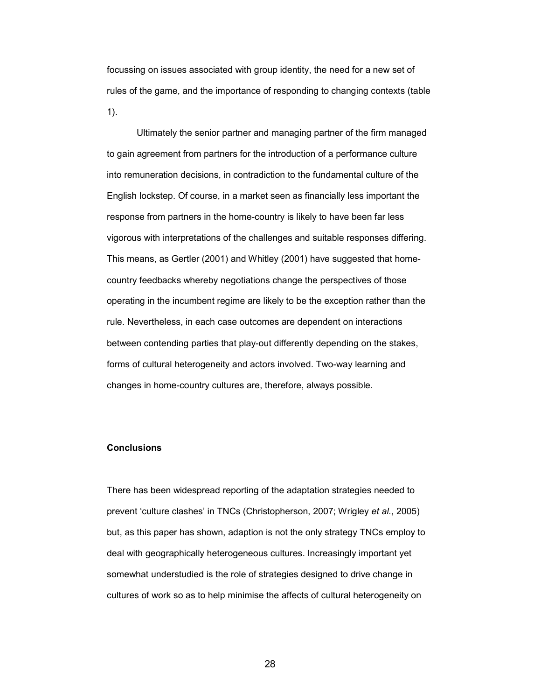focussing on issues associated with group identity, the need for a new set of rules of the game, and the importance of responding to changing contexts (table 1).

Ultimately the senior partner and managing partner of the firm managed to gain agreement from partners for the introduction of a performance culture into remuneration decisions, in contradiction to the fundamental culture of the English lockstep. Of course, in a market seen as financially less important the response from partners in the home-country is likely to have been far less vigorous with interpretations of the challenges and suitable responses differing. This means, as Gertler (2001) and Whitley (2001) have suggested that homecountry feedbacks whereby negotiations change the perspectives of those operating in the incumbent regime are likely to be the exception rather than the rule. Nevertheless, in each case outcomes are dependent on interactions between contending parties that play-out differently depending on the stakes, forms of cultural heterogeneity and actors involved. Two-way learning and changes in home-country cultures are, therefore, always possible.

#### **Conclusions**

There has been widespread reporting of the adaptation strategies needed to prevent 'culture clashes' in TNCs (Christopherson, 2007; Wrigley et al., 2005) but, as this paper has shown, adaption is not the only strategy TNCs employ to deal with geographically heterogeneous cultures. Increasingly important yet somewhat understudied is the role of strategies designed to drive change in cultures of work so as to help minimise the affects of cultural heterogeneity on

<u>28 and 28 and 28 and 28 and 28 and 28 and 28 and 28 and 28 and 28 and 28 and 28 and 28 and 28 and 28 and 28 a</u>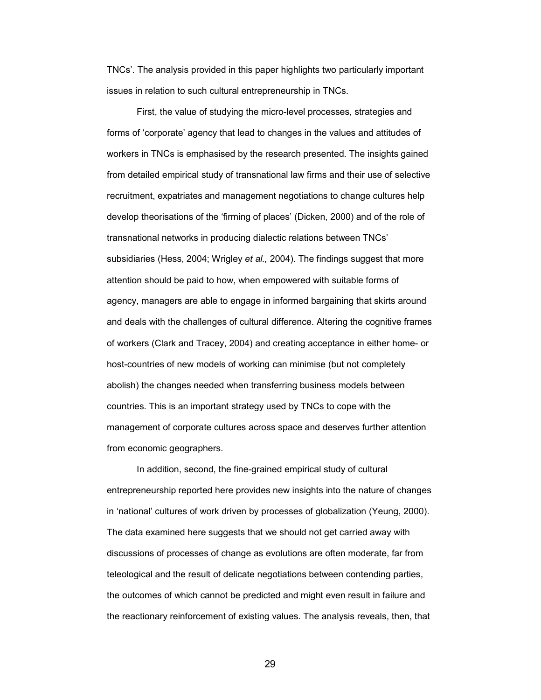TNCs'. The analysis provided in this paper highlights two particularly important issues in relation to such cultural entrepreneurship in TNCs.

First, the value of studying the micro-level processes, strategies and forms of 'corporate' agency that lead to changes in the values and attitudes of workers in TNCs is emphasised by the research presented. The insights gained from detailed empirical study of transnational law firms and their use of selective recruitment, expatriates and management negotiations to change cultures help develop theorisations of the 'firming of places' (Dicken, 2000) and of the role of transnational networks in producing dialectic relations between TNCs' subsidiaries (Hess, 2004; Wrigley et al., 2004). The findings suggest that more attention should be paid to how, when empowered with suitable forms of agency, managers are able to engage in informed bargaining that skirts around and deals with the challenges of cultural difference. Altering the cognitive frames of workers (Clark and Tracey, 2004) and creating acceptance in either home- or host-countries of new models of working can minimise (but not completely abolish) the changes needed when transferring business models between countries. This is an important strategy used by TNCs to cope with the management of corporate cultures across space and deserves further attention from economic geographers.

In addition, second, the fine-grained empirical study of cultural entrepreneurship reported here provides new insights into the nature of changes in 'national' cultures of work driven by processes of globalization (Yeung, 2000). The data examined here suggests that we should not get carried away with discussions of processes of change as evolutions are often moderate, far from teleological and the result of delicate negotiations between contending parties, the outcomes of which cannot be predicted and might even result in failure and the reactionary reinforcement of existing values. The analysis reveals, then, that

<u>29 and 29 and 29 and 29 and 29 and 29 and 29 and 29 and 29 and 29 and 29 and 29 and 29 and 29 and 29 and 29 and 29 and 29 and 29 and 29 and 29 and 29 and 29 and 29 and 29 and 2012 and 2012 and 2012 and 2012 and 2012 and 2</u>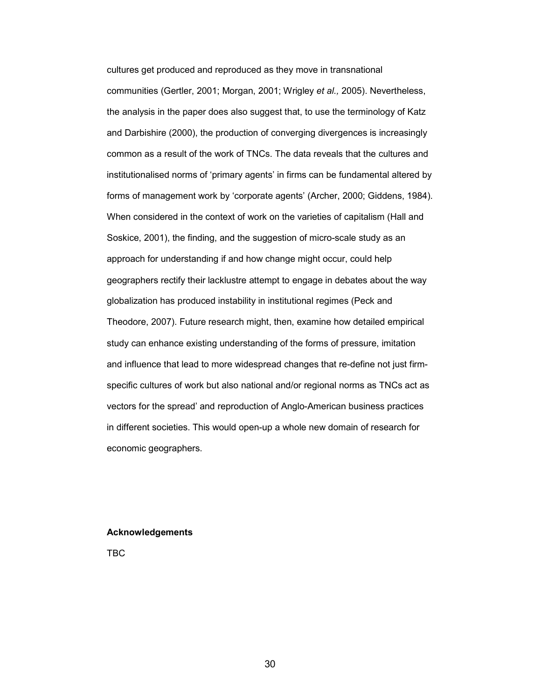cultures get produced and reproduced as they move in transnational communities (Gertler, 2001; Morgan, 2001; Wrigley et al., 2005). Nevertheless, the analysis in the paper does also suggest that, to use the terminology of Katz and Darbishire (2000), the production of converging divergences is increasingly common as a result of the work of TNCs. The data reveals that the cultures and institutionalised norms of 'primary agents' in firms can be fundamental altered by forms of management work by 'corporate agents' (Archer, 2000; Giddens, 1984). When considered in the context of work on the varieties of capitalism (Hall and Soskice, 2001), the finding, and the suggestion of micro-scale study as an approach for understanding if and how change might occur, could help geographers rectify their lacklustre attempt to engage in debates about the way globalization has produced instability in institutional regimes (Peck and Theodore, 2007). Future research might, then, examine how detailed empirical study can enhance existing understanding of the forms of pressure, imitation and influence that lead to more widespread changes that re-define not just firmspecific cultures of work but also national and/or regional norms as TNCs act as vectors for the spread' and reproduction of Anglo-American business practices in different societies. This would open-up a whole new domain of research for economic geographers.

# Acknowledgements

TBC

 $30<sup>2</sup>$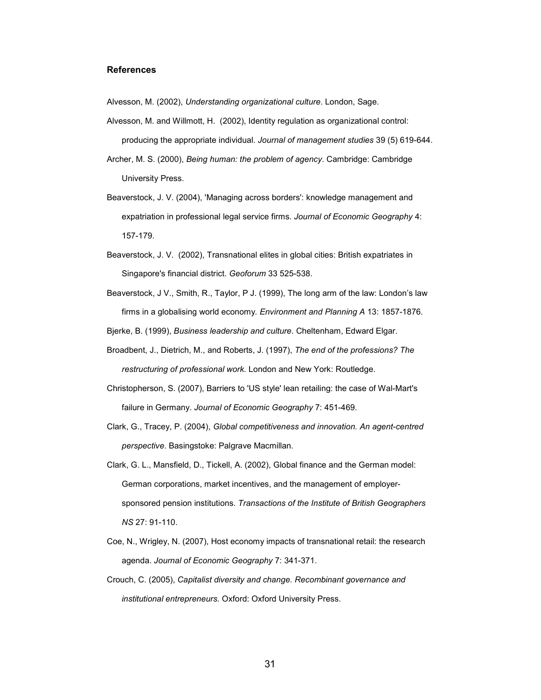#### **References**

Alvesson, M. (2002), Understanding organizational culture. London, Sage.

- Alvesson, M. and Willmott, H. (2002), Identity regulation as organizational control: producing the appropriate individual. Journal of management studies 39 (5) 619-644.
- Archer, M. S. (2000), Being human: the problem of agency. Cambridge: Cambridge University Press.
- Beaverstock, J. V. (2004), 'Managing across borders': knowledge management and expatriation in professional legal service firms. Journal of Economic Geography 4: 157-179.
- Beaverstock, J. V. (2002), Transnational elites in global cities: British expatriates in Singapore's financial district. Geoforum 33 525-538.
- Beaverstock, J V., Smith, R., Taylor, P J. (1999), The long arm of the law: London's law firms in a globalising world economy. Environment and Planning A 13: 1857-1876.

Bjerke, B. (1999), Business leadership and culture. Cheltenham, Edward Elgar.

- Broadbent, J., Dietrich, M., and Roberts, J. (1997), The end of the professions? The restructuring of professional work. London and New York: Routledge.
- Christopherson, S. (2007), Barriers to 'US style' lean retailing: the case of Wal-Mart's failure in Germany. Journal of Economic Geography 7: 451-469.
- Clark, G., Tracey, P. (2004), Global competitiveness and innovation. An agent-centred perspective. Basingstoke: Palgrave Macmillan.
- Clark, G. L., Mansfield, D., Tickell, A. (2002), Global finance and the German model: German corporations, market incentives, and the management of employersponsored pension institutions. Transactions of the Institute of British Geographers NS 27: 91-110.
- Coe, N., Wrigley, N. (2007), Host economy impacts of transnational retail: the research agenda. Journal of Economic Geography 7: 341-371.
- Crouch, C. (2005), Capitalist diversity and change. Recombinant governance and institutional entrepreneurs. Oxford: Oxford University Press.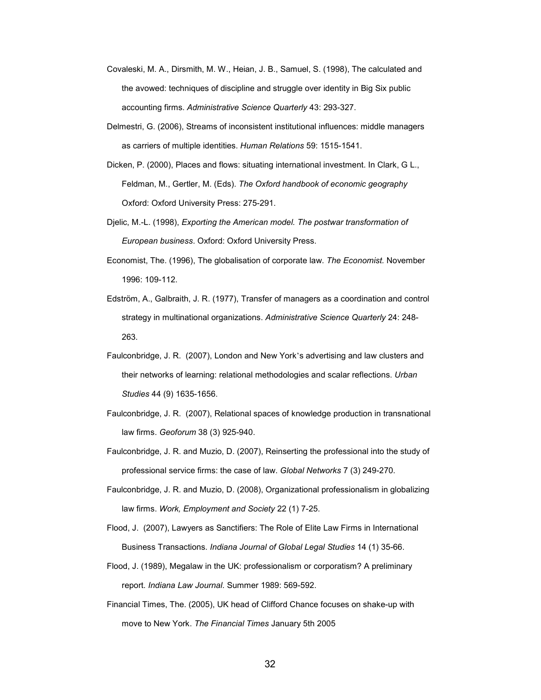- Covaleski, M. A., Dirsmith, M. W., Heian, J. B., Samuel, S. (1998), The calculated and the avowed: techniques of discipline and struggle over identity in Big Six public accounting firms. Administrative Science Quarterly 43: 293-327.
- Delmestri, G. (2006), Streams of inconsistent institutional influences: middle managers as carriers of multiple identities. Human Relations 59: 1515-1541.
- Dicken, P. (2000), Places and flows: situating international investment. In Clark, G L., Feldman, M., Gertler, M. (Eds). The Oxford handbook of economic geography Oxford: Oxford University Press: 275-291.
- Djelic, M.-L. (1998), Exporting the American model. The postwar transformation of European business. Oxford: Oxford University Press.
- Economist, The. (1996), The globalisation of corporate law. The Economist. November 1996: 109-112.
- Edström, A., Galbraith, J. R. (1977), Transfer of managers as a coordination and control strategy in multinational organizations. Administrative Science Quarterly 24: 248- 263.
- Faulconbridge, J. R. (2007), London and New York's advertising and law clusters and their networks of learning: relational methodologies and scalar reflections. Urban Studies 44 (9) 1635-1656.
- Faulconbridge, J. R. (2007), Relational spaces of knowledge production in transnational law firms. Geoforum 38 (3) 925-940.
- Faulconbridge, J. R. and Muzio, D. (2007), Reinserting the professional into the study of professional service firms: the case of law. Global Networks 7 (3) 249-270.
- Faulconbridge, J. R. and Muzio, D. (2008), Organizational professionalism in globalizing law firms. Work, Employment and Society 22 (1) 7-25.
- Flood, J. (2007), Lawyers as Sanctifiers: The Role of Elite Law Firms in International Business Transactions. Indiana Journal of Global Legal Studies 14 (1) 35-66.
- Flood, J. (1989), Megalaw in the UK: professionalism or corporatism? A preliminary report. Indiana Law Journal. Summer 1989: 569-592.
- Financial Times, The. (2005), UK head of Clifford Chance focuses on shake-up with move to New York. The Financial Times January 5th 2005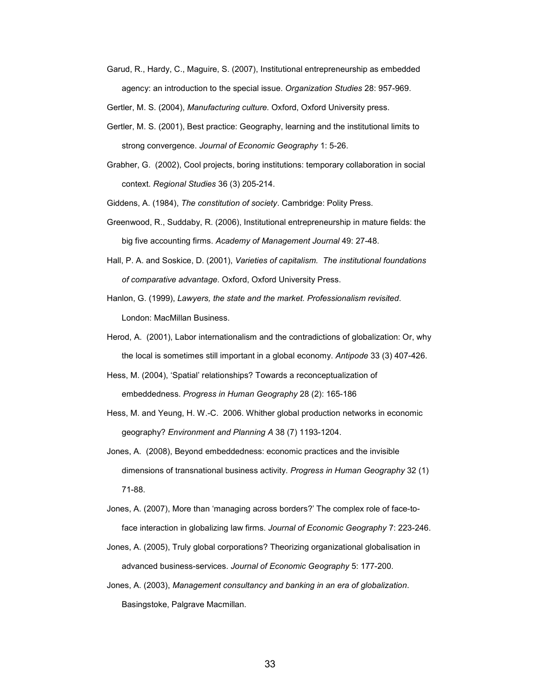Garud, R., Hardy, C., Maguire, S. (2007), Institutional entrepreneurship as embedded agency: an introduction to the special issue. Organization Studies 28: 957-969.

Gertler, M. S. (2004), Manufacturing culture. Oxford, Oxford University press.

- Gertler, M. S. (2001), Best practice: Geography, learning and the institutional limits to strong convergence. Journal of Economic Geography 1: 5-26.
- Grabher, G. (2002), Cool projects, boring institutions: temporary collaboration in social context. Regional Studies 36 (3) 205-214.
- Giddens, A. (1984), The constitution of society. Cambridge: Polity Press.
- Greenwood, R., Suddaby, R. (2006), Institutional entrepreneurship in mature fields: the big five accounting firms. Academy of Management Journal 49: 27-48.
- Hall, P. A. and Soskice, D. (2001), Varieties of capitalism. The institutional foundations of comparative advantage. Oxford, Oxford University Press.
- Hanlon, G. (1999), Lawyers, the state and the market. Professionalism revisited. London: MacMillan Business.
- Herod, A. (2001), Labor internationalism and the contradictions of globalization: Or, why the local is sometimes still important in a global economy. Antipode 33 (3) 407-426.
- Hess, M. (2004), 'Spatial' relationships? Towards a reconceptualization of embeddedness. Progress in Human Geography 28 (2): 165-186
- Hess, M. and Yeung, H. W.-C. 2006. Whither global production networks in economic geography? Environment and Planning A 38 (7) 1193-1204.
- Jones, A. (2008), Beyond embeddedness: economic practices and the invisible dimensions of transnational business activity. Progress in Human Geography 32 (1) 71-88.
- Jones, A. (2007), More than 'managing across borders?' The complex role of face-toface interaction in globalizing law firms. Journal of Economic Geography 7: 223-246.
- Jones, A. (2005), Truly global corporations? Theorizing organizational globalisation in advanced business-services. Journal of Economic Geography 5: 177-200.
- Jones, A. (2003), Management consultancy and banking in an era of globalization. Basingstoke, Palgrave Macmillan.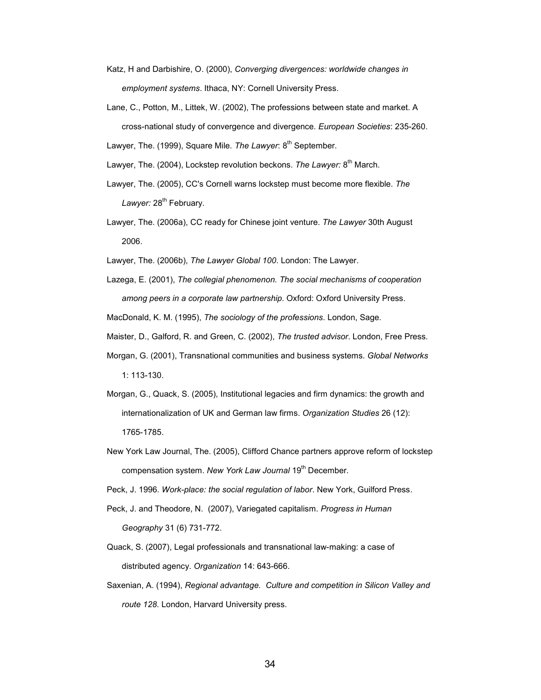- Katz, H and Darbishire, O. (2000), Converging divergences: worldwide changes in employment systems. Ithaca, NY: Cornell University Press.
- Lane, C., Potton, M., Littek, W. (2002), The professions between state and market. A cross-national study of convergence and divergence. European Societies: 235-260.

Lawyer, The. (1999), Square Mile. The Lawyer: 8<sup>th</sup> September.

Lawyer, The. (2004), Lockstep revolution beckons. The Lawyer:  $8<sup>th</sup>$  March.

- Lawyer, The. (2005), CC's Cornell warns lockstep must become more flexible. The Lawyer: 28<sup>th</sup> February.
- Lawyer, The. (2006a), CC ready for Chinese joint venture. The Lawyer 30th August 2006.

Lawyer, The. (2006b), The Lawyer Global 100. London: The Lawyer.

Lazega, E. (2001), The collegial phenomenon. The social mechanisms of cooperation among peers in a corporate law partnership. Oxford: Oxford University Press.

MacDonald, K. M. (1995), The sociology of the professions. London, Sage.

Maister, D., Galford, R. and Green, C. (2002), The trusted advisor. London, Free Press.

- Morgan, G. (2001), Transnational communities and business systems. Global Networks 1: 113-130.
- Morgan, G., Quack, S. (2005), Institutional legacies and firm dynamics: the growth and internationalization of UK and German law firms. Organization Studies 26 (12): 1765-1785.
- New York Law Journal, The. (2005), Clifford Chance partners approve reform of lockstep compensation system. New York Law Journal 19<sup>th</sup> December.

Peck, J. 1996. Work-place: the social regulation of labor. New York, Guilford Press.

- Peck, J. and Theodore, N. (2007), Variegated capitalism. Progress in Human Geography 31 (6) 731-772.
- Quack, S. (2007), Legal professionals and transnational law-making: a case of distributed agency. Organization 14: 643-666.
- Saxenian, A. (1994), Regional advantage. Culture and competition in Silicon Valley and route 128. London, Harvard University press.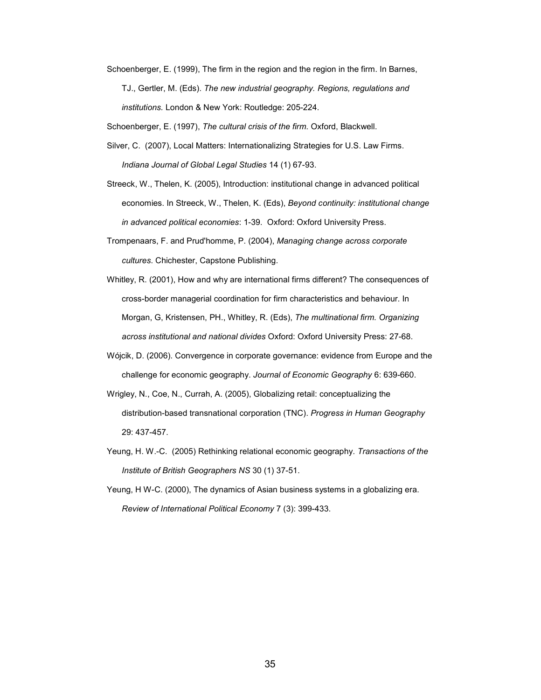Schoenberger, E. (1999), The firm in the region and the region in the firm. In Barnes, TJ., Gertler, M. (Eds). The new industrial geography. Regions, regulations and institutions. London & New York: Routledge: 205-224.

Schoenberger, E. (1997), The cultural crisis of the firm. Oxford, Blackwell.

- Silver, C. (2007), Local Matters: Internationalizing Strategies for U.S. Law Firms. Indiana Journal of Global Legal Studies 14 (1) 67-93.
- Streeck, W., Thelen, K. (2005), Introduction: institutional change in advanced political economies. In Streeck, W., Thelen, K. (Eds), Beyond continuity: institutional change in advanced political economies: 1-39. Oxford: Oxford University Press.
- Trompenaars, F. and Prud'homme, P. (2004), Managing change across corporate cultures. Chichester, Capstone Publishing.
- Whitley, R. (2001), How and why are international firms different? The consequences of cross-border managerial coordination for firm characteristics and behaviour. In Morgan, G, Kristensen, PH., Whitley, R. (Eds), The multinational firm. Organizing across institutional and national divides Oxford: Oxford University Press: 27-68.
- Wójcik, D. (2006). Convergence in corporate governance: evidence from Europe and the challenge for economic geography. Journal of Economic Geography 6: 639-660.
- Wrigley, N., Coe, N., Currah, A. (2005), Globalizing retail: conceptualizing the distribution-based transnational corporation (TNC). Progress in Human Geography 29: 437-457.
- Yeung, H. W.-C. (2005) Rethinking relational economic geography. Transactions of the Institute of British Geographers NS 30 (1) 37-51.
- Yeung, H W-C. (2000), The dynamics of Asian business systems in a globalizing era. Review of International Political Economy 7 (3): 399-433.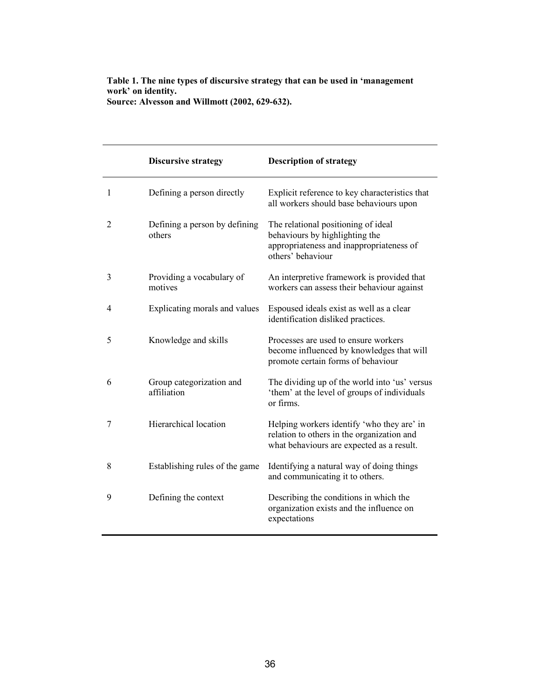Table 1. The nine types of discursive strategy that can be used in 'management work' on identity. Source: Alvesson and Willmott (2002, 629-632).

Discursive strategy Description of strategy 1 Defining a person directly Explicit reference to key characteristics that all workers should base behaviours upon 2 Defining a person by defining others The relational positioning of ideal behaviours by highlighting the appropriateness and inappropriateness of others' behaviour 3 Providing a vocabulary of motives An interpretive framework is provided that workers can assess their behaviour against 4 Explicating morals and values Espoused ideals exist as well as a clear identification disliked practices. 5 Knowledge and skills Processes are used to ensure workers become influenced by knowledges that will promote certain forms of behaviour 6 Group categorization and affiliation The dividing up of the world into 'us' versus 'them' at the level of groups of individuals or firms. 7 Hierarchical location Helping workers identify 'who they are' in relation to others in the organization and what behaviours are expected as a result. 8 Establishing rules of the game Identifying a natural way of doing things and communicating it to others. 9 Defining the context Describing the conditions in which the organization exists and the influence on expectations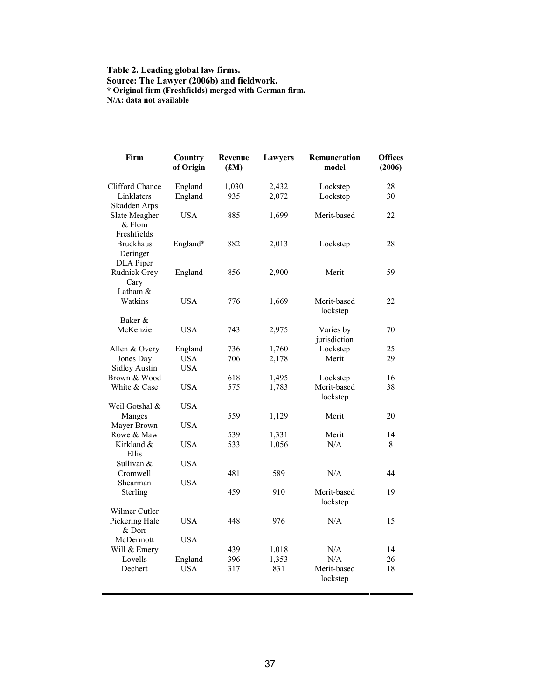# Table 2. Leading global law firms. Source: The Lawyer (2006b) and fieldwork. \* Original firm (Freshfields) merged with German firm. N/A: data not available

| Firm                                 | Country<br>of Origin | Revenue<br>f(M) | Lawyers        | Remuneration<br>model   | <b>Offices</b><br>(2006) |
|--------------------------------------|----------------------|-----------------|----------------|-------------------------|--------------------------|
|                                      |                      |                 |                |                         |                          |
| Clifford Chance                      | England              | 1,030           | 2,432          | Lockstep                | 28                       |
| Linklaters                           | England              | 935             | 2,072          | Lockstep                | 30                       |
| Skadden Arps<br>Slate Meagher        | <b>USA</b>           | 885             | 1,699          | Merit-based             | 22                       |
| & Flom<br>Freshfields                |                      |                 |                |                         |                          |
| <b>Bruckhaus</b>                     | England*             | 882             | 2,013          | Lockstep                | 28                       |
| Deringer                             |                      |                 |                |                         |                          |
| <b>DLA</b> Piper                     |                      |                 |                |                         |                          |
| Rudnick Grey                         | England              | 856             | 2,900          | Merit                   | 59                       |
| Cary                                 |                      |                 |                |                         |                          |
| Latham &                             |                      |                 |                |                         |                          |
| Watkins                              | <b>USA</b>           | 776             | 1,669          | Merit-based             | 22                       |
|                                      |                      |                 |                | lockstep                |                          |
| Baker &                              |                      |                 |                |                         |                          |
| McKenzie                             | <b>USA</b>           | 743             | 2,975          | Varies by               | 70                       |
|                                      |                      |                 |                | jurisdiction            |                          |
| Allen & Overy                        | England              | 736             | 1,760          | Lockstep                | 25                       |
| Jones Day                            | USA                  | 706             | 2,178          | Merit                   | 29                       |
| <b>Sidley Austin</b><br>Brown & Wood | <b>USA</b>           |                 |                |                         |                          |
| White & Case                         | <b>USA</b>           | 618<br>575      | 1,495<br>1,783 | Lockstep<br>Merit-based | 16<br>38                 |
|                                      |                      |                 |                | lockstep                |                          |
| Weil Gotshal &                       | <b>USA</b>           |                 |                |                         |                          |
| Manges                               |                      | 559             | 1,129          | Merit                   | 20                       |
| Mayer Brown                          | USA                  |                 |                |                         |                          |
| Rowe & Maw                           |                      | 539             | 1,331          | Merit                   | 14                       |
| Kirkland &                           | <b>USA</b>           | 533             | 1,056          | N/A                     | 8                        |
| Ellis                                |                      |                 |                |                         |                          |
| Sullivan &                           | <b>USA</b>           |                 |                |                         |                          |
| Cromwell                             |                      | 481             | 589            | N/A                     | 44                       |
| Shearman                             | <b>USA</b>           |                 |                |                         |                          |
| Sterling                             |                      | 459             | 910            | Merit-based             | 19                       |
|                                      |                      |                 |                | lockstep                |                          |
| Wilmer Cutler                        |                      |                 |                |                         |                          |
| Pickering Hale                       | <b>USA</b>           | 448             | 976            | N/A                     | 15                       |
| $&$ Dorr                             |                      |                 |                |                         |                          |
| McDermott                            | <b>USA</b>           |                 |                |                         |                          |
| Will & Emery                         |                      | 439             | 1,018          | N/A                     | 14                       |
| Lovells                              | England              | 396             | 1,353          | N/A                     | 26                       |
| Dechert                              | <b>USA</b>           | 317             | 831            | Merit-based             | 18                       |
|                                      |                      |                 |                | lockstep                |                          |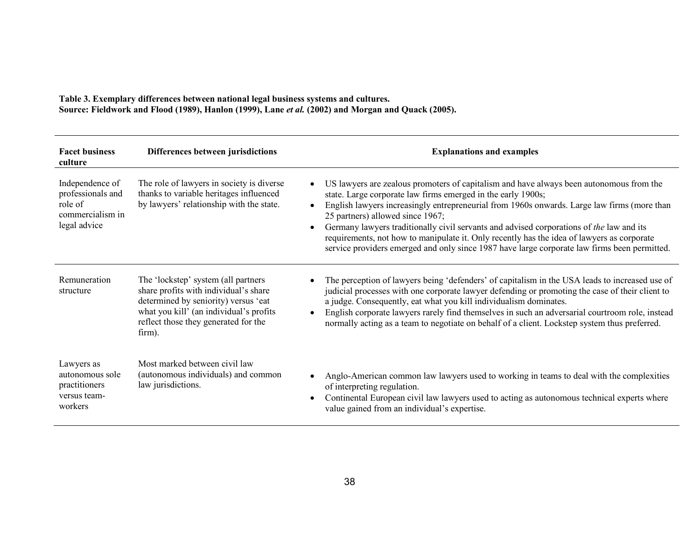Table 3. Exemplary differences between national legal business systems and cultures.<br>Source: Fieldwork and Flood (1989), Hanlon (1999), Lane *et al*. (2002) and Morgan and Quack (2005).

| <b>Facet business</b><br>culture                                                    | Differences between jurisdictions                                                                                                                                                                                  | <b>Explanations and examples</b>                                                                                                                                                                                                                                                                                                                                                                                                                                                                                                                                                     |
|-------------------------------------------------------------------------------------|--------------------------------------------------------------------------------------------------------------------------------------------------------------------------------------------------------------------|--------------------------------------------------------------------------------------------------------------------------------------------------------------------------------------------------------------------------------------------------------------------------------------------------------------------------------------------------------------------------------------------------------------------------------------------------------------------------------------------------------------------------------------------------------------------------------------|
| Independence of<br>professionals and<br>role of<br>commercialism in<br>legal advice | The role of lawyers in society is diverse<br>thanks to variable heritages influenced<br>by lawyers' relationship with the state.                                                                                   | US lawyers are zealous promoters of capitalism and have always been autonomous from the<br>state. Large corporate law firms emerged in the early 1900s;<br>English lawyers increasingly entrepreneurial from 1960s onwards. Large law firms (more than<br>25 partners) allowed since 1967;<br>Germany lawyers traditionally civil servants and advised corporations of the law and its<br>requirements, not how to manipulate it. Only recently has the idea of lawyers as corporate<br>service providers emerged and only since 1987 have large corporate law firms been permitted. |
| Remuneration<br>structure                                                           | The 'lockstep' system (all partners<br>share profits with individual's share<br>determined by seniority) versus 'eat<br>what you kill' (an individual's profits)<br>reflect those they generated for the<br>firm). | The perception of lawyers being 'defenders' of capitalism in the USA leads to increased use of<br>judicial processes with one corporate lawyer defending or promoting the case of their client to<br>a judge. Consequently, eat what you kill individualism dominates.<br>English corporate lawyers rarely find themselves in such an adversarial courtroom role, instead<br>normally acting as a team to negotiate on behalf of a client. Lockstep system thus preferred.                                                                                                           |
| Lawyers as<br>autonomous sole<br>practitioners<br>versus team-<br>workers           | Most marked between civil law<br>(autonomous individuals) and common<br>law jurisdictions.                                                                                                                         | Anglo-American common law lawyers used to working in teams to deal with the complexities<br>of interpreting regulation.<br>Continental European civil law lawyers used to acting as autonomous technical experts where<br>$\bullet$<br>value gained from an individual's expertise.                                                                                                                                                                                                                                                                                                  |